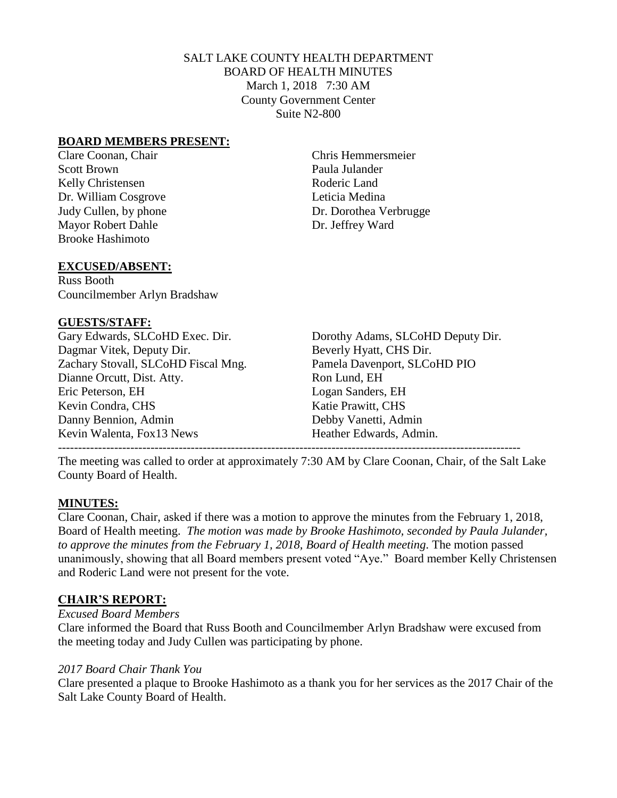## SALT LAKE COUNTY HEALTH DEPARTMENT BOARD OF HEALTH MINUTES March 1, 2018 7:30 AM County Government Center Suite N2-800

#### **BOARD MEMBERS PRESENT:**

Scott Brown Paula Julander Kelly Christensen Roderic Land Dr. William Cosgrove Leticia Medina Mayor Robert Dahle Dr. Jeffrey Ward Brooke Hashimoto

Clare Coonan, Chair Chris Hemmersmeier Judy Cullen, by phone Dr. Dorothea Verbrugge

#### **EXCUSED/ABSENT:**

Russ Booth Councilmember Arlyn Bradshaw

#### **GUESTS/STAFF:**

Dagmar Vitek, Deputy Dir. Beverly Hyatt, CHS Dir. Zachary Stovall, SLCoHD Fiscal Mng. Pamela Davenport, SLCoHD PIO Dianne Orcutt, Dist. Atty. Ron Lund, EH Eric Peterson, EH Logan Sanders, EH Kevin Condra, CHS Katie Prawitt, CHS Danny Bennion, Admin Debby Vanetti, Admin Kevin Walenta, Fox13 News Heather Edwards, Admin.

Gary Edwards, SLCoHD Exec. Dir. Dorothy Adams, SLCoHD Deputy Dir. -------------------------------------------------------------------------------------------------------------------

The meeting was called to order at approximately 7:30 AM by Clare Coonan, Chair, of the Salt Lake County Board of Health.

#### **MINUTES:**

Clare Coonan, Chair, asked if there was a motion to approve the minutes from the February 1, 2018, Board of Health meeting. *The motion was made by Brooke Hashimoto, seconded by Paula Julander,*  to approve the minutes from the February 1, 2018, Board of Health meeting. The motion passed unanimously, showing that all Board members present voted "Aye." Board member Kelly Christensen and Roderic Land were not present for the vote.

## **CHAIR'S REPORT:**

*Excused Board Members*

Clare informed the Board that Russ Booth and Councilmember Arlyn Bradshaw were excused from the meeting today and Judy Cullen was participating by phone.

#### *2017 Board Chair Thank You*

Clare presented a plaque to Brooke Hashimoto as a thank you for her services as the 2017 Chair of the Salt Lake County Board of Health.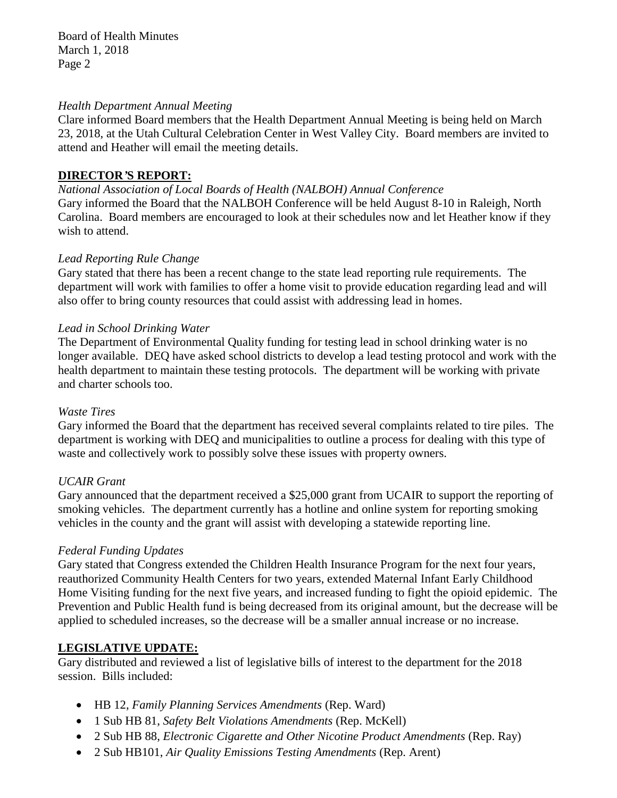Board of Health Minutes March 1, 2018 Page 2

#### *Health Department Annual Meeting*

Clare informed Board members that the Health Department Annual Meeting is being held on March 23, 2018, at the Utah Cultural Celebration Center in West Valley City. Board members are invited to attend and Heather will email the meeting details.

# **DIRECTOR***'***S REPORT:**

*National Association of Local Boards of Health (NALBOH) Annual Conference* Gary informed the Board that the NALBOH Conference will be held August 8-10 in Raleigh, North Carolina. Board members are encouraged to look at their schedules now and let Heather know if they wish to attend.

## *Lead Reporting Rule Change*

Gary stated that there has been a recent change to the state lead reporting rule requirements. The department will work with families to offer a home visit to provide education regarding lead and will also offer to bring county resources that could assist with addressing lead in homes.

## *Lead in School Drinking Water*

The Department of Environmental Quality funding for testing lead in school drinking water is no longer available. DEQ have asked school districts to develop a lead testing protocol and work with the health department to maintain these testing protocols. The department will be working with private and charter schools too.

## *Waste Tires*

Gary informed the Board that the department has received several complaints related to tire piles. The department is working with DEQ and municipalities to outline a process for dealing with this type of waste and collectively work to possibly solve these issues with property owners.

## *UCAIR Grant*

Gary announced that the department received a \$25,000 grant from UCAIR to support the reporting of smoking vehicles. The department currently has a hotline and online system for reporting smoking vehicles in the county and the grant will assist with developing a statewide reporting line.

## *Federal Funding Updates*

Gary stated that Congress extended the Children Health Insurance Program for the next four years, reauthorized Community Health Centers for two years, extended Maternal Infant Early Childhood Home Visiting funding for the next five years, and increased funding to fight the opioid epidemic. The Prevention and Public Health fund is being decreased from its original amount, but the decrease will be applied to scheduled increases, so the decrease will be a smaller annual increase or no increase.

## **LEGISLATIVE UPDATE:**

Gary distributed and reviewed a list of legislative bills of interest to the department for the 2018 session. Bills included:

- HB 12, *Family Planning Services Amendments* (Rep. Ward)
- 1 Sub HB 81, *Safety Belt Violations Amendments* (Rep. McKell)
- 2 Sub HB 88, *Electronic Cigarette and Other Nicotine Product Amendments* (Rep. Ray)
- 2 Sub HB101, *Air Quality Emissions Testing Amendments* (Rep. Arent)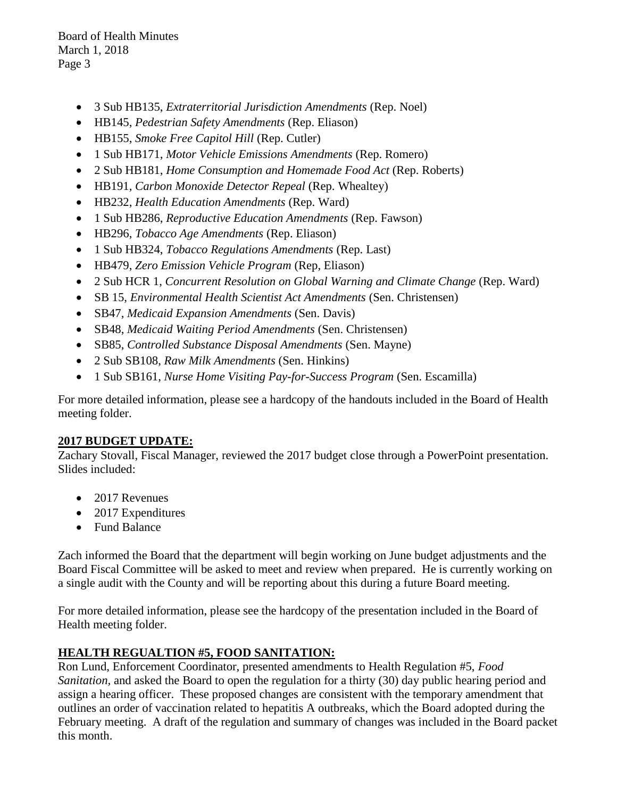Board of Health Minutes March 1, 2018 Page 3

- 3 Sub HB135, *Extraterritorial Jurisdiction Amendments* (Rep. Noel)
- HB145, *Pedestrian Safety Amendments* (Rep. Eliason)
- HB155, *Smoke Free Capitol Hill* (Rep. Cutler)
- 1 Sub HB171, *Motor Vehicle Emissions Amendments* (Rep. Romero)
- 2 Sub HB181, *Home Consumption and Homemade Food Act* (Rep. Roberts)
- HB191, *Carbon Monoxide Detector Repeal* (Rep. Whealtey)
- HB232, *Health Education Amendments* (Rep. Ward)
- 1 Sub HB286, *Reproductive Education Amendments* (Rep. Fawson)
- HB296, *Tobacco Age Amendments* (Rep. Eliason)
- 1 Sub HB324, *Tobacco Regulations Amendments* (Rep. Last)
- HB479, *Zero Emission Vehicle Program* (Rep, Eliason)
- 2 Sub HCR 1, *Concurrent Resolution on Global Warning and Climate Change* (Rep. Ward)
- SB 15, *Environmental Health Scientist Act Amendments* (Sen. Christensen)
- SB47, *Medicaid Expansion Amendments* (Sen. Davis)
- SB48, *Medicaid Waiting Period Amendments* (Sen. Christensen)
- SB85, *Controlled Substance Disposal Amendments* (Sen. Mayne)
- 2 Sub SB108, *Raw Milk Amendments* (Sen. Hinkins)
- 1 Sub SB161, *Nurse Home Visiting Pay-for-Success Program* (Sen. Escamilla)

For more detailed information, please see a hardcopy of the handouts included in the Board of Health meeting folder.

## **2017 BUDGET UPDATE:**

Zachary Stovall, Fiscal Manager, reviewed the 2017 budget close through a PowerPoint presentation. Slides included:

- 2017 Revenues
- 2017 Expenditures
- Fund Balance

Zach informed the Board that the department will begin working on June budget adjustments and the Board Fiscal Committee will be asked to meet and review when prepared. He is currently working on a single audit with the County and will be reporting about this during a future Board meeting.

For more detailed information, please see the hardcopy of the presentation included in the Board of Health meeting folder.

# **HEALTH REGUALTION #5, FOOD SANITATION:**

Ron Lund, Enforcement Coordinator, presented amendments to Health Regulation #5, *Food Sanitation,* and asked the Board to open the regulation for a thirty (30) day public hearing period and assign a hearing officer. These proposed changes are consistent with the temporary amendment that outlines an order of vaccination related to hepatitis A outbreaks, which the Board adopted during the February meeting. A draft of the regulation and summary of changes was included in the Board packet this month.